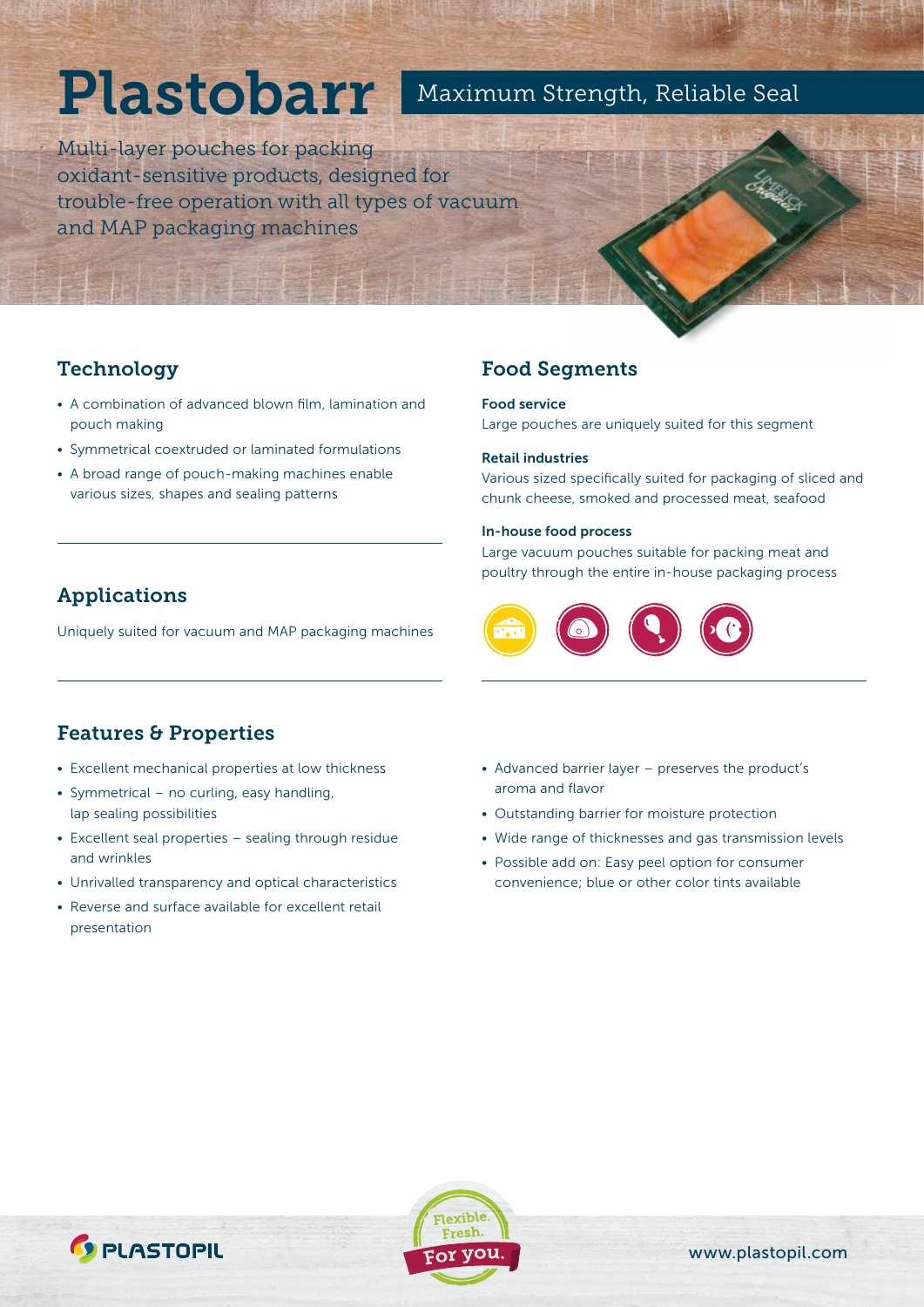# Plastobarr

## Maximum Strength, Reliable Seal

Multi-layer pouches for packing oxidant-sensitive products, designed for trouble-free operation with all types of vacuum and MAP packaging machines

## **Technology**

- A combination of advanced blown film, lamination and pouch making
- Symmetrical coextruded or laminated formulations
- A broad range of pouch-making machines enable various sizes, shapes and sealing patterns

# Applications

Uniquely suited for vacuum and MAP packaging machines

## Food Segments

#### Food service

Large pouches are uniquely suited for this segment

#### Retail industries

Various sized specifically suited for packaging of sliced and chunk cheese, smoked and processed meat, seafood

#### In-house food process

Large vacuum pouches suitable for packing meat and poultry through the entire in-house packaging process



## Features & Properties

- Excellent mechanical properties at low thickness
- Symmetrical no curling, easy handling, lap sealing possibilities
- Excellent seal properties sealing through residue and wrinkles
- Unrivalled transparency and optical characteristics
- Reverse and surface available for excellent retail presentation
- Advanced barrier layer preserves the product's aroma and flavor
- Outstanding barrier for moisture protection
- Wide range of thicknesses and gas transmission levels
- Possible add on: Easy peel option for consumer convenience; blue or other color tints available